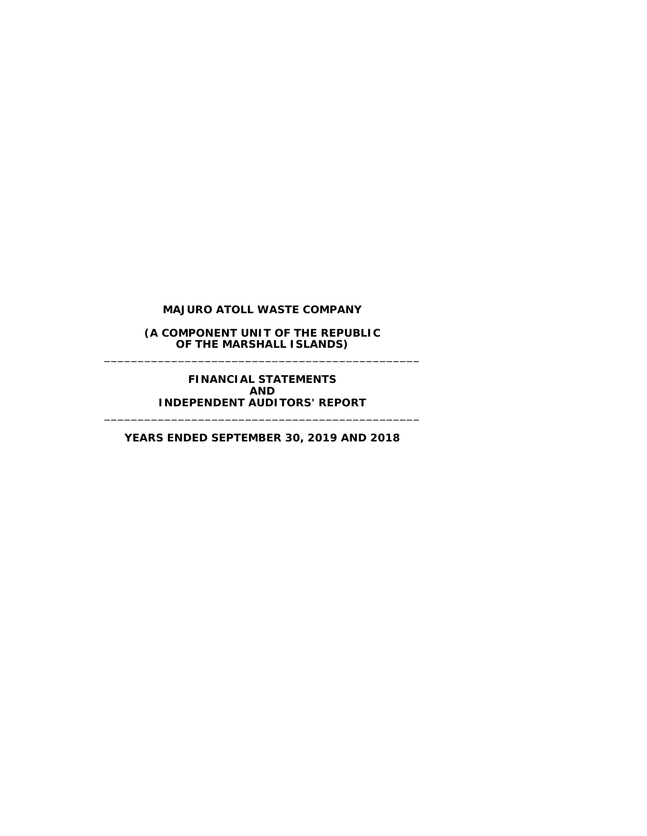#### **MAJURO ATOLL WASTE COMPANY**

**(A COMPONENT UNIT OF THE REPUBLIC OF THE MARSHALL ISLANDS)** \_\_\_\_\_\_\_\_\_\_\_\_\_\_\_\_\_\_\_\_\_\_\_\_\_\_\_\_\_\_\_\_\_\_\_\_\_\_\_\_\_\_\_\_\_\_\_

> **FINANCIAL STATEMENTS AND INDEPENDENT AUDITORS' REPORT**

**YEARS ENDED SEPTEMBER 30, 2019 AND 2018**

\_\_\_\_\_\_\_\_\_\_\_\_\_\_\_\_\_\_\_\_\_\_\_\_\_\_\_\_\_\_\_\_\_\_\_\_\_\_\_\_\_\_\_\_\_\_\_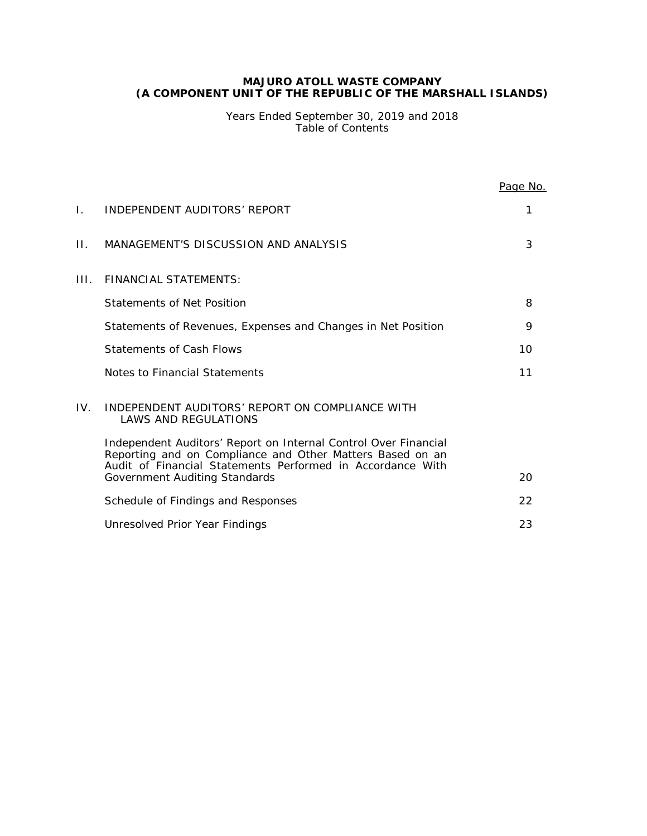Years Ended September 30, 2019 and 2018 Table of Contents

|      |                                                                                                                                                                                            | <u>Page No.</u> |
|------|--------------------------------------------------------------------------------------------------------------------------------------------------------------------------------------------|-----------------|
| L.   | INDEPENDENT AUDITORS' REPORT                                                                                                                                                               | 1               |
| Н.   | MANAGEMENT'S DISCUSSION AND ANALYSIS                                                                                                                                                       | 3               |
| III. | FINANCIAL STATEMENTS:                                                                                                                                                                      |                 |
|      | <b>Statements of Net Position</b>                                                                                                                                                          | 8               |
|      | Statements of Revenues, Expenses and Changes in Net Position                                                                                                                               | 9               |
|      | <b>Statements of Cash Flows</b>                                                                                                                                                            | 10              |
|      | Notes to Financial Statements                                                                                                                                                              | 11              |
| IV.  | INDEPENDENT AUDITORS' REPORT ON COMPLIANCE WITH<br><b>LAWS AND REGULATIONS</b>                                                                                                             |                 |
|      | Independent Auditors' Report on Internal Control Over Financial<br>Reporting and on Compliance and Other Matters Based on an<br>Audit of Financial Statements Performed in Accordance With |                 |
|      | Government Auditing Standards                                                                                                                                                              | 20              |
|      | Schedule of Findings and Responses                                                                                                                                                         | 22              |
|      | Unresolved Prior Year Findings                                                                                                                                                             | 23              |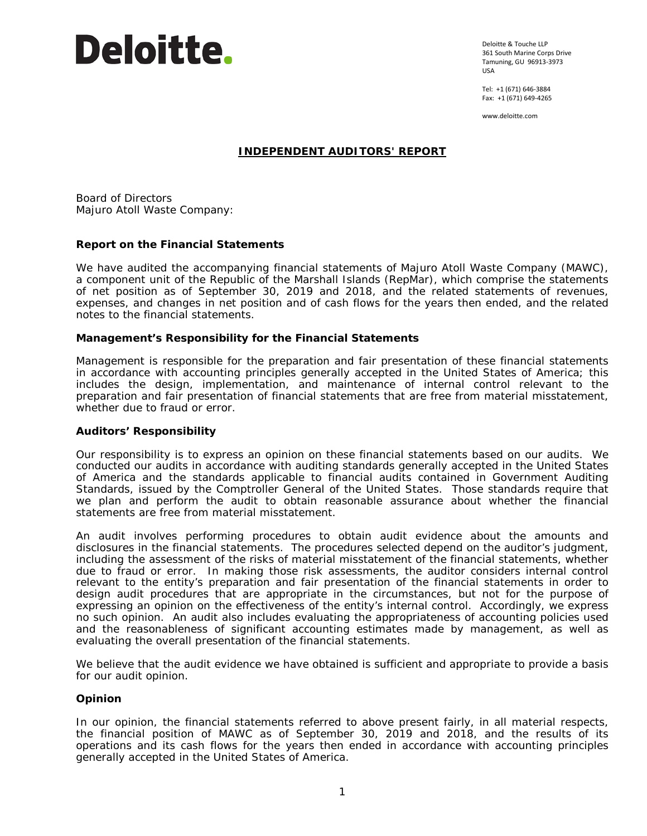

Deloitte & Touche LLP 361 South Marine Corps Drive Tamuning, GU 96913-3973 USA

Tel: +1 (671) 646-3884 Fax: +1 (671) 649-4265

www.deloitte.com

# **INDEPENDENT AUDITORS' REPORT**

Board of Directors Majuro Atoll Waste Company:

# **Report on the Financial Statements**

We have audited the accompanying financial statements of Majuro Atoll Waste Company (MAWC), a component unit of the Republic of the Marshall Islands (RepMar), which comprise the statements of net position as of September 30, 2019 and 2018, and the related statements of revenues, expenses, and changes in net position and of cash flows for the years then ended, and the related notes to the financial statements.

# *Management's Responsibility for the Financial Statements*

Management is responsible for the preparation and fair presentation of these financial statements in accordance with accounting principles generally accepted in the United States of America; this includes the design, implementation, and maintenance of internal control relevant to the preparation and fair presentation of financial statements that are free from material misstatement, whether due to fraud or error.

# *Auditors' Responsibility*

Our responsibility is to express an opinion on these financial statements based on our audits. We conducted our audits in accordance with auditing standards generally accepted in the United States of America and the standards applicable to financial audits contained in *Government Auditing Standards,* issued by the Comptroller General of the United States. Those standards require that we plan and perform the audit to obtain reasonable assurance about whether the financial statements are free from material misstatement.

An audit involves performing procedures to obtain audit evidence about the amounts and disclosures in the financial statements. The procedures selected depend on the auditor's judgment, including the assessment of the risks of material misstatement of the financial statements, whether due to fraud or error. In making those risk assessments, the auditor considers internal control relevant to the entity's preparation and fair presentation of the financial statements in order to design audit procedures that are appropriate in the circumstances, but not for the purpose of expressing an opinion on the effectiveness of the entity's internal control. Accordingly, we express no such opinion. An audit also includes evaluating the appropriateness of accounting policies used and the reasonableness of significant accounting estimates made by management, as well as evaluating the overall presentation of the financial statements.

We believe that the audit evidence we have obtained is sufficient and appropriate to provide a basis for our audit opinion.

# *Opinion*

In our opinion, the financial statements referred to above present fairly, in all material respects, the financial position of MAWC as of September 30, 2019 and 2018, and the results of its operations and its cash flows for the years then ended in accordance with accounting principles generally accepted in the United States of America.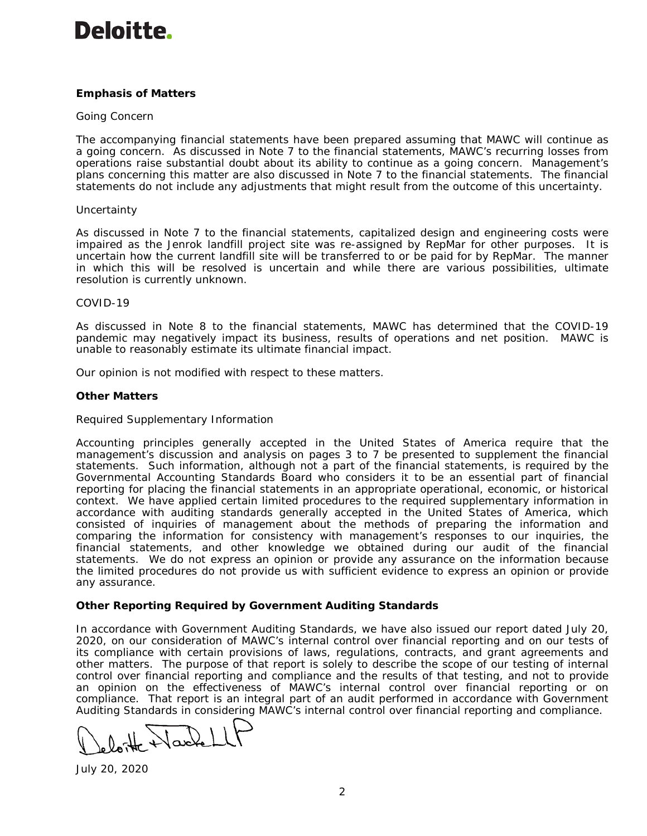# Deloitte.

# **Emphasis of Matters**

# *Going Concern*

The accompanying financial statements have been prepared assuming that MAWC will continue as a going concern. As discussed in Note 7 to the financial statements, MAWC's recurring losses from operations raise substantial doubt about its ability to continue as a going concern. Management's plans concerning this matter are also discussed in Note 7 to the financial statements. The financial statements do not include any adjustments that might result from the outcome of this uncertainty.

# *Uncertainty*

As discussed in Note 7 to the financial statements, capitalized design and engineering costs were impaired as the Jenrok landfill project site was re-assigned by RepMar for other purposes. It is uncertain how the current landfill site will be transferred to or be paid for by RepMar. The manner in which this will be resolved is uncertain and while there are various possibilities, ultimate resolution is currently unknown.

# *COVID-19*

As discussed in Note 8 to the financial statements, MAWC has determined that the COVID-19 pandemic may negatively impact its business, results of operations and net position. MAWC is unable to reasonably estimate its ultimate financial impact.

Our opinion is not modified with respect to these matters.

# *Other Matters*

# *Required Supplementary Information*

Accounting principles generally accepted in the United States of America require that the management's discussion and analysis on pages 3 to 7 be presented to supplement the financial statements. Such information, although not a part of the financial statements, is required by the Governmental Accounting Standards Board who considers it to be an essential part of financial reporting for placing the financial statements in an appropriate operational, economic, or historical context. We have applied certain limited procedures to the required supplementary information in accordance with auditing standards generally accepted in the United States of America, which consisted of inquiries of management about the methods of preparing the information and comparing the information for consistency with management's responses to our inquiries, the financial statements, and other knowledge we obtained during our audit of the financial statements. We do not express an opinion or provide any assurance on the information because the limited procedures do not provide us with sufficient evidence to express an opinion or provide any assurance.

# **Other Reporting Required by** *Government Auditing Standards*

In accordance with *Government Auditing Standards*, we have also issued our report dated July 20, 2020, on our consideration of MAWC's internal control over financial reporting and on our tests of its compliance with certain provisions of laws, regulations, contracts, and grant agreements and other matters. The purpose of that report is solely to describe the scope of our testing of internal control over financial reporting and compliance and the results of that testing, and not to provide an opinion on the effectiveness of MAWC's internal control over financial reporting or on compliance. That report is an integral part of an audit performed in accordance with *Government Auditing Standards* in considering MAWC's internal control over financial reporting and compliance.

July 20, 2020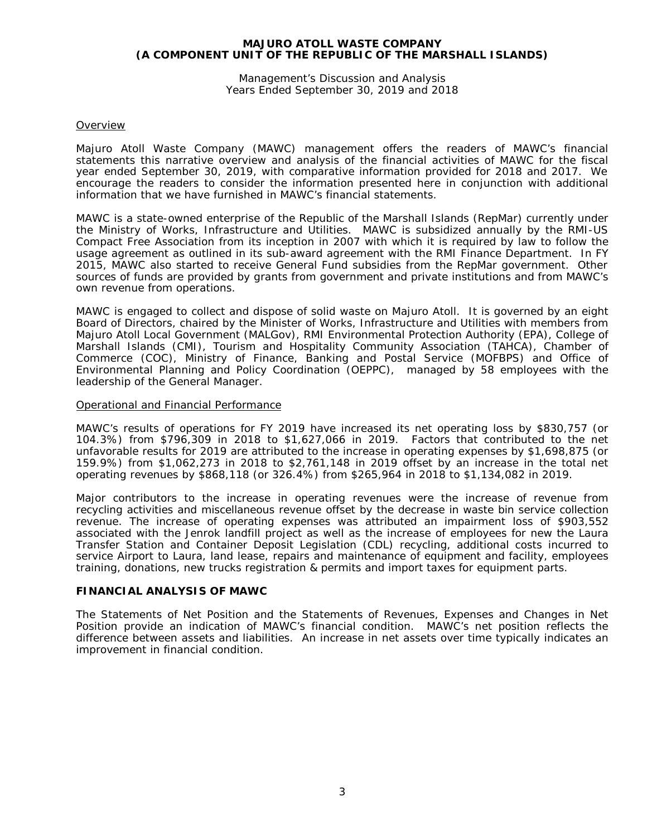Management's Discussion and Analysis Years Ended September 30, 2019 and 2018

#### **Overview**

Majuro Atoll Waste Company (MAWC) management offers the readers of MAWC's financial statements this narrative overview and analysis of the financial activities of MAWC for the fiscal year ended September 30, 2019, with comparative information provided for 2018 and 2017. We encourage the readers to consider the information presented here in conjunction with additional information that we have furnished in MAWC's financial statements.

MAWC is a state-owned enterprise of the Republic of the Marshall Islands (RepMar) currently under the Ministry of Works, Infrastructure and Utilities. MAWC is subsidized annually by the RMI-US Compact Free Association from its inception in 2007 with which it is required by law to follow the usage agreement as outlined in its sub-award agreement with the RMI Finance Department. In FY 2015, MAWC also started to receive General Fund subsidies from the RepMar government. Other sources of funds are provided by grants from government and private institutions and from MAWC's own revenue from operations.

MAWC is engaged to collect and dispose of solid waste on Majuro Atoll. It is governed by an eight Board of Directors, chaired by the Minister of Works, Infrastructure and Utilities with members from Majuro Atoll Local Government (MALGov), RMI Environmental Protection Authority (EPA), College of Marshall Islands (CMI), Tourism and Hospitality Community Association (TAHCA), Chamber of Commerce (COC), Ministry of Finance, Banking and Postal Service (MOFBPS) and Office of Environmental Planning and Policy Coordination (OEPPC), managed by 58 employees with the leadership of the General Manager.

#### Operational and Financial Performance

MAWC's results of operations for FY 2019 have increased its net operating loss by \$830,757 (or 104.3%) from \$796,309 in 2018 to \$1,627,066 in 2019. Factors that contributed to the net unfavorable results for 2019 are attributed to the increase in operating expenses by \$1,698,875 (or 159.9%) from \$1,062,273 in 2018 to \$2,761,148 in 2019 offset by an increase in the total net operating revenues by \$868,118 (or 326.4%) from \$265,964 in 2018 to \$1,134,082 in 2019.

Major contributors to the increase in operating revenues were the increase of revenue from recycling activities and miscellaneous revenue offset by the decrease in waste bin service collection revenue. The increase of operating expenses was attributed an impairment loss of \$903,552 associated with the Jenrok landfill project as well as the increase of employees for new the Laura Transfer Station and Container Deposit Legislation (CDL) recycling, additional costs incurred to service Airport to Laura, land lease, repairs and maintenance of equipment and facility, employees training, donations, new trucks registration & permits and import taxes for equipment parts.

# **FINANCIAL ANALYSIS OF MAWC**

The Statements of Net Position and the Statements of Revenues, Expenses and Changes in Net Position provide an indication of MAWC's financial condition. MAWC's net position reflects the difference between assets and liabilities. An increase in net assets over time typically indicates an improvement in financial condition.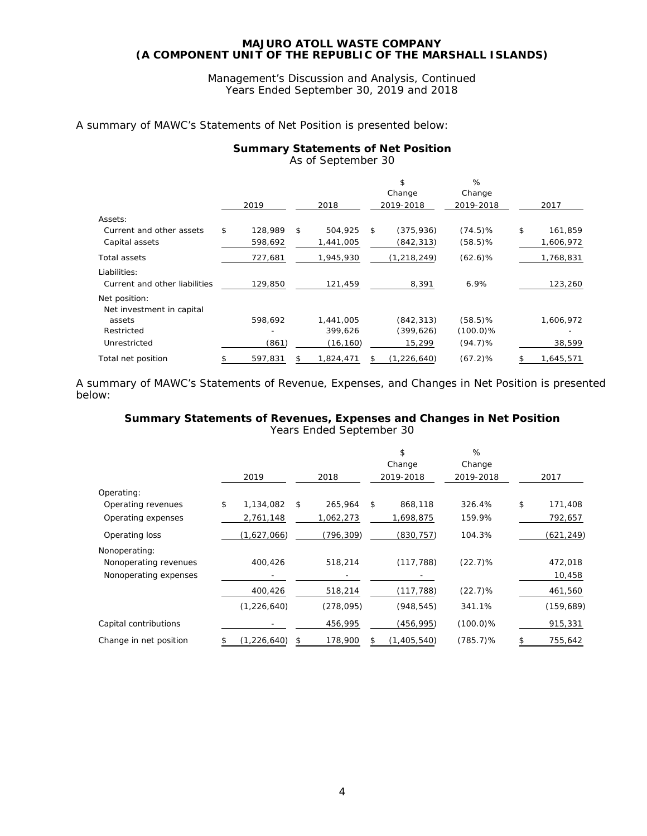# Management's Discussion and Analysis, Continued Years Ended September 30, 2019 and 2018

# A summary of MAWC's Statements of Net Position is presented below:

# **Summary Statements of Net Position** As of September 30

|                                            |               |    |           |    | \$            | %           |               |
|--------------------------------------------|---------------|----|-----------|----|---------------|-------------|---------------|
|                                            |               |    |           |    | Change        | Change      |               |
|                                            | 2019          |    | 2018      |    | 2019-2018     | 2019-2018   | 2017          |
| Assets:                                    |               |    |           |    |               |             |               |
| Current and other assets                   | \$<br>128,989 | \$ | 504,925   | \$ | (375, 936)    | $(74.5)\%$  | \$<br>161,859 |
| Capital assets                             | 598,692       |    | 1,441,005 |    | (842, 313)    | $(58.5)\%$  | 1,606,972     |
| Total assets                               | 727,681       |    | 1,945,930 |    | (1, 218, 249) | $(62.6)\%$  | 1,768,831     |
| Liabilities:                               |               |    |           |    |               |             |               |
| Current and other liabilities              | 129,850       |    | 121,459   |    | 8,391         | 6.9%        | 123,260       |
| Net position:<br>Net investment in capital |               |    |           |    |               |             |               |
| assets                                     | 598,692       |    | 1,441,005 |    | (842, 313)    | $(58.5)\%$  | 1,606,972     |
| Restricted                                 |               |    | 399,626   |    | (399,626)     | $(100.0)\%$ |               |
| Unrestricted                               | (861)         |    | (16, 160) |    | 15,299        | $(94.7)\%$  | 38,599        |
| Total net position                         | \$<br>597.831 | Я. | 1,824,471 | S. | (1, 226, 640) | $(67.2)$ %  | 1,645,571     |

A summary of MAWC's Statements of Revenue, Expenses, and Changes in Net Position is presented below:

# **Summary Statements of Revenues, Expenses and Changes in Net Position** Years Ended September 30

|                        | 2019            | 2018          | \$<br>Change<br>2019-2018 | %<br>Change<br>2019-2018 | 2017          |
|------------------------|-----------------|---------------|---------------------------|--------------------------|---------------|
| Operating:             |                 |               |                           |                          |               |
| Operating revenues     | \$<br>1,134,082 | \$<br>265,964 | \$<br>868,118             | 326.4%                   | \$<br>171,408 |
| Operating expenses     | 2,761,148       | 1,062,273     | 1,698,875                 | 159.9%                   | 792,657       |
| Operating loss         | (1,627,066)     | (796,309)     | (830, 757)                | 104.3%                   | (621, 249)    |
| Nonoperating:          |                 |               |                           |                          |               |
| Nonoperating revenues  | 400,426         | 518,214       | (117, 788)                | $(22.7)\%$               | 472,018       |
| Nonoperating expenses  |                 |               |                           |                          | 10,458        |
|                        | 400,426         | 518,214       | (117, 788)                | $(22.7)\%$               | 461,560       |
|                        | (1, 226, 640)   | (278, 095)    | (948, 545)                | 341.1%                   | (159,689)     |
| Capital contributions  |                 | 456,995       | (456,995)                 | $(100.0)\%$              | 915,331       |
| Change in net position | (1, 226, 640)   | 178,900       | (1, 405, 540)             | $(785.7)\%$              | 755,642       |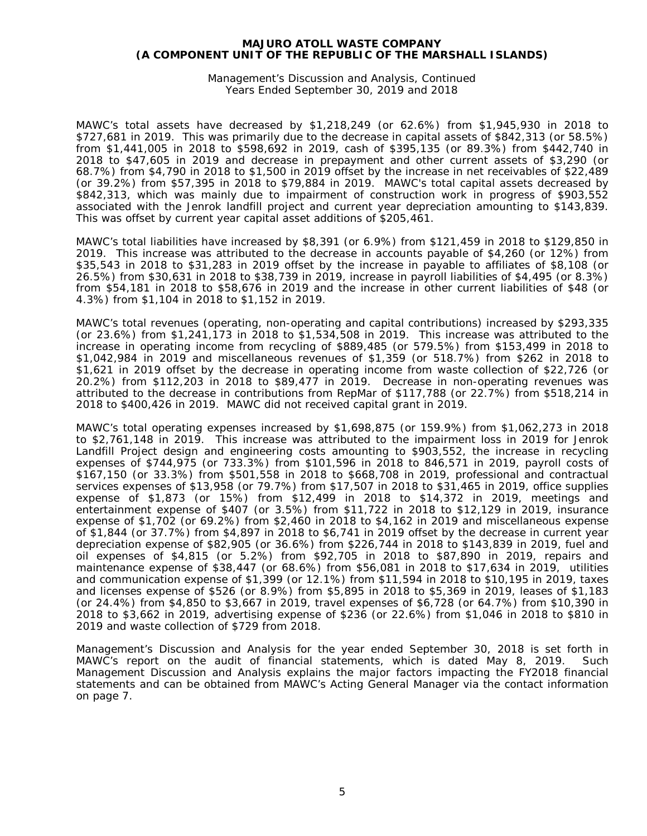Management's Discussion and Analysis, Continued Years Ended September 30, 2019 and 2018

MAWC's total assets have decreased by \$1,218,249 (or 62.6%) from \$1,945,930 in 2018 to \$727,681 in 2019. This was primarily due to the decrease in capital assets of \$842,313 (or 58.5%) from \$1,441,005 in 2018 to \$598,692 in 2019, cash of \$395,135 (or 89.3%) from \$442,740 in 2018 to \$47,605 in 2019 and decrease in prepayment and other current assets of \$3,290 (or 68.7%) from \$4,790 in 2018 to \$1,500 in 2019 offset by the increase in net receivables of \$22,489 (or 39.2%) from \$57,395 in 2018 to \$79,884 in 2019. MAWC's total capital assets decreased by \$842,313, which was mainly due to impairment of construction work in progress of \$903,552 associated with the Jenrok landfill project and current year depreciation amounting to \$143,839. This was offset by current year capital asset additions of \$205,461.

MAWC's total liabilities have increased by \$8,391 (or 6.9%) from \$121,459 in 2018 to \$129,850 in 2019. This increase was attributed to the decrease in accounts payable of \$4,260 (or 12%) from \$35,543 in 2018 to \$31,283 in 2019 offset by the increase in payable to affiliates of \$8,108 (or 26.5%) from \$30,631 in 2018 to \$38,739 in 2019, increase in payroll liabilities of \$4,495 (or 8.3%) from \$54,181 in 2018 to \$58,676 in 2019 and the increase in other current liabilities of \$48 (or 4.3%) from \$1,104 in 2018 to \$1,152 in 2019.

MAWC's total revenues (operating, non-operating and capital contributions) increased by \$293,335 (or 23.6%) from \$1,241,173 in 2018 to \$1,534,508 in 2019. This increase was attributed to the increase in operating income from recycling of \$889,485 (or 579.5%) from \$153,499 in 2018 to \$1,042,984 in 2019 and miscellaneous revenues of \$1,359 (or 518.7%) from \$262 in 2018 to \$1,621 in 2019 offset by the decrease in operating income from waste collection of \$22,726 (or 20.2%) from \$112,203 in 2018 to \$89,477 in 2019. Decrease in non-operating revenues was attributed to the decrease in contributions from RepMar of \$117,788 (or 22.7%) from \$518,214 in 2018 to \$400,426 in 2019. MAWC did not received capital grant in 2019.

MAWC's total operating expenses increased by \$1,698,875 (or 159.9%) from \$1,062,273 in 2018 to \$2,761,148 in 2019. This increase was attributed to the impairment loss in 2019 for Jenrok Landfill Project design and engineering costs amounting to \$903,552, the increase in recycling expenses of \$744,975 (or 733.3%) from \$101,596 in 2018 to 846,571 in 2019, payroll costs of \$167,150 (or 33.3%) from \$501,558 in 2018 to \$668,708 in 2019, professional and contractual services expenses of \$13,958 (or 79.7%) from \$17,507 in 2018 to \$31,465 in 2019, office supplies expense of \$1,873 (or 15%) from \$12,499 in 2018 to \$14,372 in 2019, meetings and entertainment expense of \$407 (or 3.5%) from \$11,722 in 2018 to \$12,129 in 2019, insurance expense of \$1,702 (or 69.2%) from \$2,460 in 2018 to \$4,162 in 2019 and miscellaneous expense of \$1,844 (or 37.7%) from \$4,897 in 2018 to \$6,741 in 2019 offset by the decrease in current year depreciation expense of \$82,905 (or 36.6%) from \$226,744 in 2018 to \$143,839 in 2019, fuel and oil expenses of \$4,815 (or 5.2%) from \$92,705 in 2018 to \$87,890 in 2019, repairs and maintenance expense of \$38,447 (or 68.6%) from \$56,081 in 2018 to \$17,634 in 2019, utilities and communication expense of \$1,399 (or 12.1%) from \$11,594 in 2018 to \$10,195 in 2019, taxes and licenses expense of \$526 (or 8.9%) from \$5,895 in 2018 to \$5,369 in 2019, leases of \$1,183 (or 24.4%) from \$4,850 to \$3,667 in 2019, travel expenses of \$6,728 (or 64.7%) from \$10,390 in 2018 to \$3,662 in 2019, advertising expense of \$236 (or 22.6%) from \$1,046 in 2018 to \$810 in 2019 and waste collection of \$729 from 2018.

Management's Discussion and Analysis for the year ended September 30, 2018 is set forth in MAWC's report on the audit of financial statements, which is dated May 8, 2019. Such Management Discussion and Analysis explains the major factors impacting the FY2018 financial statements and can be obtained from MAWC's Acting General Manager via the contact information on page 7.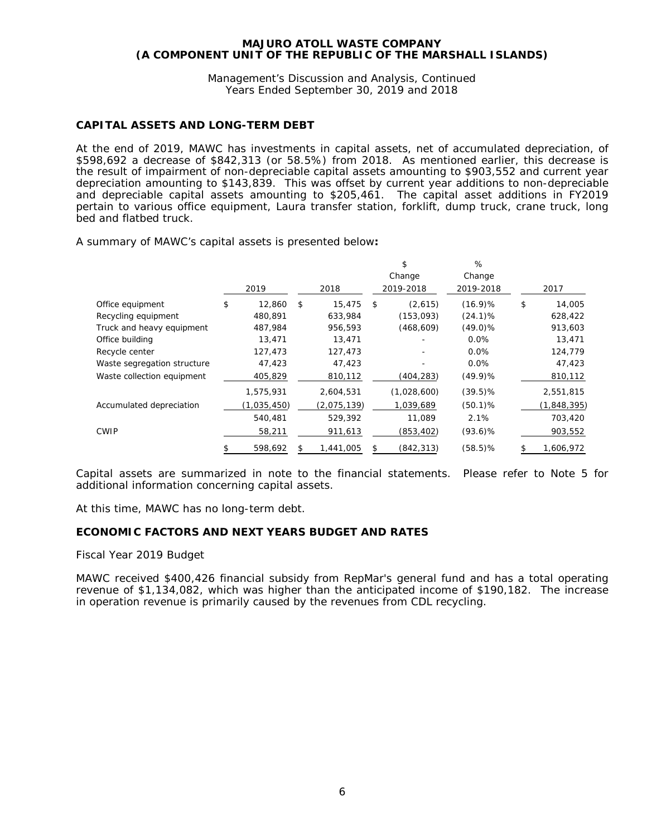Management's Discussion and Analysis, Continued Years Ended September 30, 2019 and 2018

# **CAPITAL ASSETS AND LONG-TERM DEBT**

At the end of 2019, MAWC has investments in capital assets, net of accumulated depreciation, of \$598,692 a decrease of \$842,313 (or 58.5%) from 2018. As mentioned earlier, this decrease is the result of impairment of non-depreciable capital assets amounting to \$903,552 and current year depreciation amounting to \$143,839. This was offset by current year additions to non-depreciable and depreciable capital assets amounting to \$205,461. The capital asset additions in FY2019 pertain to various office equipment, Laura transfer station, forklift, dump truck, crane truck, long bed and flatbed truck.

A summary of MAWC's capital assets is presented below**:**

|                             |              |              | \$            | %          |               |
|-----------------------------|--------------|--------------|---------------|------------|---------------|
|                             |              |              | Change        | Change     |               |
|                             | 2019         | 2018         | 2019-2018     | 2019-2018  | 2017          |
| Office equipment            | \$<br>12,860 | \$<br>15,475 | \$<br>(2,615) | (16.9)%    | \$<br>14,005  |
| Recycling equipment         | 480.891      | 633,984      | (153,093)     | $(24.1)\%$ | 628,422       |
| Truck and heavy equipment   | 487,984      | 956,593      | (468, 609)    | $(49.0)\%$ | 913,603       |
| Office building             | 13,471       | 13,471       |               | 0.0%       | 13,471        |
| Recycle center              | 127,473      | 127,473      |               | $0.0\%$    | 124,779       |
| Waste segregation structure | 47,423       | 47,423       |               | $0.0\%$    | 47,423        |
| Waste collection equipment  | 405,829      | 810,112      | (404,283)     | (49.9)%    | 810,112       |
|                             | 1,575,931    | 2,604,531    | (1,028,600)   | $(39.5)\%$ | 2,551,815     |
| Accumulated depreciation    | (1,035,450)  | (2,075,139)  | 1,039,689     | $(50.1)$ % | (1, 848, 395) |
|                             | 540,481      | 529,392      | 11,089        | 2.1%       | 703,420       |
| <b>CWIP</b>                 | 58,211       | 911,613      | (853,402)     | $(93.6)\%$ | 903,552       |
|                             | 598,692      | 1,441,005    | (842, 313)    | $(58.5)\%$ | 1,606,972     |

Capital assets are summarized in note to the financial statements. Please refer to Note 5 for additional information concerning capital assets.

At this time, MAWC has no long-term debt.

# **ECONOMIC FACTORS AND NEXT YEARS BUDGET AND RATES**

Fiscal Year 2019 Budget

MAWC received \$400,426 financial subsidy from RepMar's general fund and has a total operating revenue of \$1,134,082, which was higher than the anticipated income of \$190,182. The increase in operation revenue is primarily caused by the revenues from CDL recycling.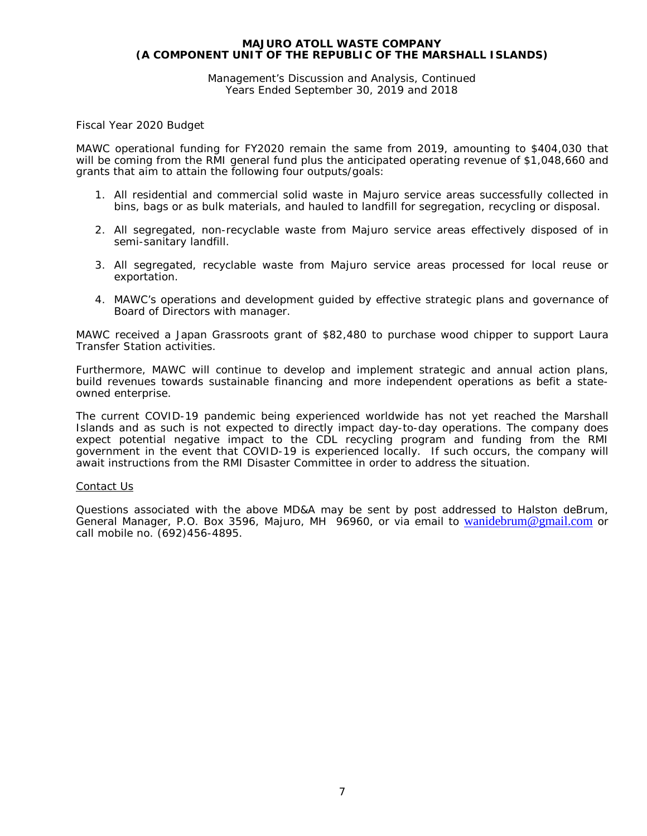#### Management's Discussion and Analysis, Continued Years Ended September 30, 2019 and 2018

# Fiscal Year 2020 Budget

MAWC operational funding for FY2020 remain the same from 2019, amounting to \$404,030 that will be coming from the RMI general fund plus the anticipated operating revenue of \$1,048,660 and grants that aim to attain the following four outputs/goals:

- 1. All residential and commercial solid waste in Majuro service areas successfully collected in bins, bags or as bulk materials, and hauled to landfill for segregation, recycling or disposal.
- 2. All segregated, non-recyclable waste from Majuro service areas effectively disposed of in semi-sanitary landfill.
- 3. All segregated, recyclable waste from Majuro service areas processed for local reuse or exportation.
- 4. MAWC's operations and development guided by effective strategic plans and governance of Board of Directors with manager.

MAWC received a Japan Grassroots grant of \$82,480 to purchase wood chipper to support Laura Transfer Station activities.

Furthermore, MAWC will continue to develop and implement strategic and annual action plans, build revenues towards sustainable financing and more independent operations as befit a stateowned enterprise.

The current COVID-19 pandemic being experienced worldwide has not yet reached the Marshall Islands and as such is not expected to directly impact day-to-day operations. The company does expect potential negative impact to the CDL recycling program and funding from the RMI government in the event that COVID-19 is experienced locally. If such occurs, the company will await instructions from the RMI Disaster Committee in order to address the situation.

# Contact Us

Questions associated with the above MD&A may be sent by post addressed to Halston deBrum, General Manager, P.O. Box 3596, Majuro, MH 96960, or via email to [wanidebrum@gmail.com](mailto:wanidebrum@gmail.com) or call mobile no. (692)456-4895.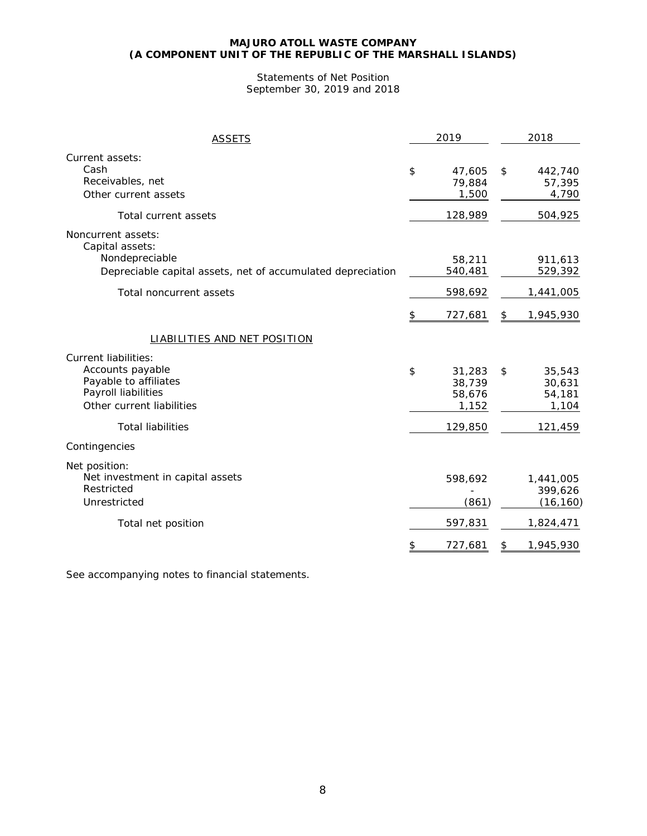# Statements of Net Position September 30, 2019 and 2018

| <b>ASSETS</b>                                                                                                                |           | 2019                                | 2018                                           |
|------------------------------------------------------------------------------------------------------------------------------|-----------|-------------------------------------|------------------------------------------------|
| Current assets:<br>Cash<br>Receivables, net<br>Other current assets                                                          | \$        | 47,605<br>79,884<br>1,500           | \$<br>442,740<br>57,395<br>4,790               |
| Total current assets                                                                                                         |           | 128,989                             | 504,925                                        |
| Noncurrent assets:<br>Capital assets:<br>Nondepreciable<br>Depreciable capital assets, net of accumulated depreciation       |           | 58,211<br>540,481                   | 911,613<br>529,392                             |
| Total noncurrent assets                                                                                                      |           | 598,692                             | 1,441,005                                      |
|                                                                                                                              | \$        | 727,681                             | \$<br>1,945,930                                |
| LIABILITIES AND NET POSITION                                                                                                 |           |                                     |                                                |
| <b>Current liabilities:</b><br>Accounts payable<br>Payable to affiliates<br>Payroll liabilities<br>Other current liabilities | \$        | 31,283<br>38,739<br>58,676<br>1,152 | \$<br>35,543<br>30,631<br>54,181<br>1,104      |
| <b>Total liabilities</b>                                                                                                     |           | 129,850                             | 121,459                                        |
| Contingencies                                                                                                                |           |                                     |                                                |
| Net position:<br>Net investment in capital assets<br>Restricted<br>Unrestricted<br>Total net position                        |           | 598,692<br>(861)<br>597,831         | 1,441,005<br>399,626<br>(16, 160)<br>1,824,471 |
|                                                                                                                              | <u>\$</u> | 727,681                             | \$<br>1,945,930                                |

See accompanying notes to financial statements.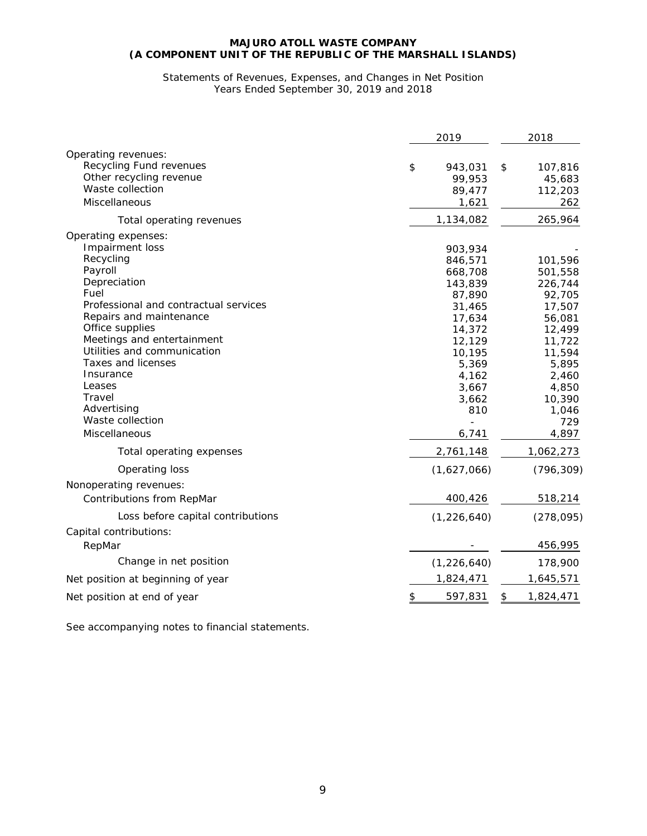# Statements of Revenues, Expenses, and Changes in Net Position Years Ended September 30, 2019 and 2018

| Operating revenues:<br>Recycling Fund revenues<br>\$<br>943,031<br>\$<br>Other recycling revenue<br>99,953<br>Waste collection<br>89,477<br>Miscellaneous<br>1,621<br>1,134,082<br>Total operating revenues<br>Operating expenses:<br>Impairment loss<br>903,934<br>Recycling                                                                                                                                                                   | 107,816<br>45,683<br>112,203<br>262                                                                                                                     |
|-------------------------------------------------------------------------------------------------------------------------------------------------------------------------------------------------------------------------------------------------------------------------------------------------------------------------------------------------------------------------------------------------------------------------------------------------|---------------------------------------------------------------------------------------------------------------------------------------------------------|
|                                                                                                                                                                                                                                                                                                                                                                                                                                                 |                                                                                                                                                         |
|                                                                                                                                                                                                                                                                                                                                                                                                                                                 | 265,964                                                                                                                                                 |
| 846,571<br>Payroll<br>668,708<br>Depreciation<br>143,839<br>Fuel<br>87,890<br>Professional and contractual services<br>31,465<br>Repairs and maintenance<br>17,634<br>Office supplies<br>14,372<br>Meetings and entertainment<br>12,129<br>Utilities and communication<br>10,195<br>Taxes and licenses<br>5,369<br>Insurance<br>4,162<br>Leases<br>3,667<br>Travel<br>3,662<br>Advertising<br>810<br>Waste collection<br>Miscellaneous<br>6,741 | 101,596<br>501,558<br>226,744<br>92,705<br>17,507<br>56,081<br>12,499<br>11,722<br>11,594<br>5,895<br>2,460<br>4,850<br>10,390<br>1,046<br>729<br>4,897 |
| 2,761,148<br>Total operating expenses                                                                                                                                                                                                                                                                                                                                                                                                           | 1,062,273                                                                                                                                               |
| Operating loss<br>(1,627,066)<br>Nonoperating revenues:<br>Contributions from RepMar<br>400,426<br>Loss before capital contributions<br>(1, 226, 640)                                                                                                                                                                                                                                                                                           | (796, 309)<br>518,214<br>(278, 095)                                                                                                                     |
| Capital contributions:<br>RepMar<br>Change in net position                                                                                                                                                                                                                                                                                                                                                                                      | 456,995                                                                                                                                                 |
| (1, 226, 640)<br>1,824,471<br>Net position at beginning of year                                                                                                                                                                                                                                                                                                                                                                                 | 178,900<br>1,645,571                                                                                                                                    |
| \$<br>Net position at end of year<br>597,831<br>\$                                                                                                                                                                                                                                                                                                                                                                                              | 1,824,471                                                                                                                                               |

See accompanying notes to financial statements.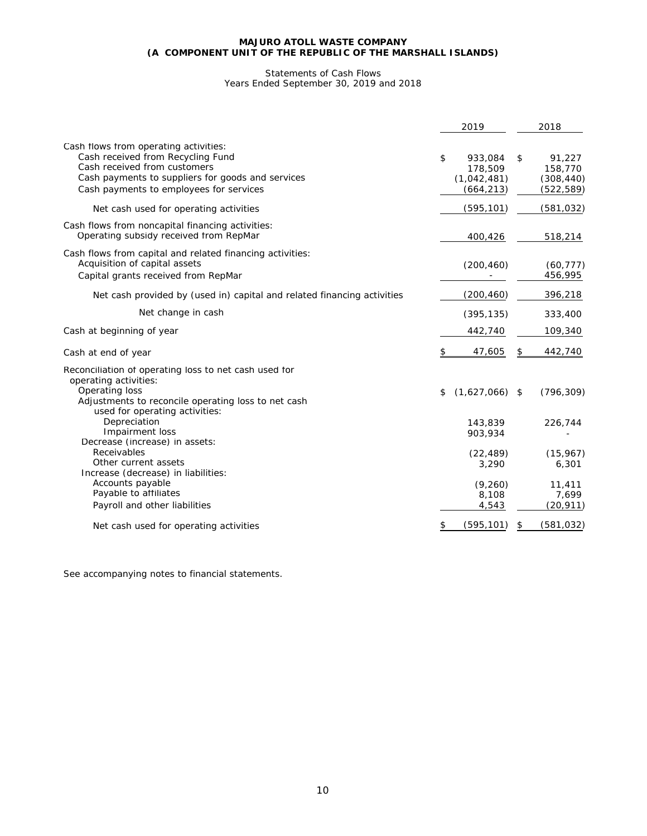#### Statements of Cash Flows Years Ended September 30, 2019 and 2018

|                                                                                                                                                                                                            | 2019                                                 | 2018                                               |
|------------------------------------------------------------------------------------------------------------------------------------------------------------------------------------------------------------|------------------------------------------------------|----------------------------------------------------|
| Cash flows from operating activities:<br>Cash received from Recycling Fund<br>Cash received from customers<br>Cash payments to suppliers for goods and services<br>Cash payments to employees for services | \$<br>933,084<br>178,509<br>(1,042,481)<br>(664,213) | \$<br>91,227<br>158,770<br>(308, 440)<br>(522,589) |
| Net cash used for operating activities                                                                                                                                                                     | (595, 101)                                           | (581, 032)                                         |
| Cash flows from noncapital financing activities:<br>Operating subsidy received from RepMar                                                                                                                 | 400,426                                              | 518,214                                            |
| Cash flows from capital and related financing activities:<br>Acquisition of capital assets<br>Capital grants received from RepMar                                                                          | (200, 460)                                           | (60, 777)<br>456,995                               |
| Net cash provided by (used in) capital and related financing activities                                                                                                                                    | (200, 460)                                           | 396,218                                            |
| Net change in cash                                                                                                                                                                                         | (395, 135)                                           | 333,400                                            |
| Cash at beginning of year                                                                                                                                                                                  | 442,740                                              | 109,340                                            |
| Cash at end of year                                                                                                                                                                                        | \$<br>47,605                                         | \$<br>442,740                                      |
| Reconciliation of operating loss to net cash used for<br>operating activities:<br>Operating loss<br>Adjustments to reconcile operating loss to net cash<br>used for operating activities:                  | \$<br>$(1,627,066)$ \$                               | (796, 309)                                         |
| Depreciation<br>Impairment loss<br>Decrease (increase) in assets:                                                                                                                                          | 143,839<br>903,934                                   | 226,744                                            |
| Receivables<br>Other current assets<br>Increase (decrease) in liabilities:                                                                                                                                 | (22, 489)<br>3,290                                   | (15, 967)<br>6,301                                 |
| Accounts payable<br>Payable to affiliates<br>Payroll and other liabilities                                                                                                                                 | (9,260)<br>8,108<br>4,543                            | 11,411<br>7,699<br>(20, 911)                       |
| Net cash used for operating activities                                                                                                                                                                     | \$<br>(595, 101)                                     | \$<br>(581, 032)                                   |

See accompanying notes to financial statements.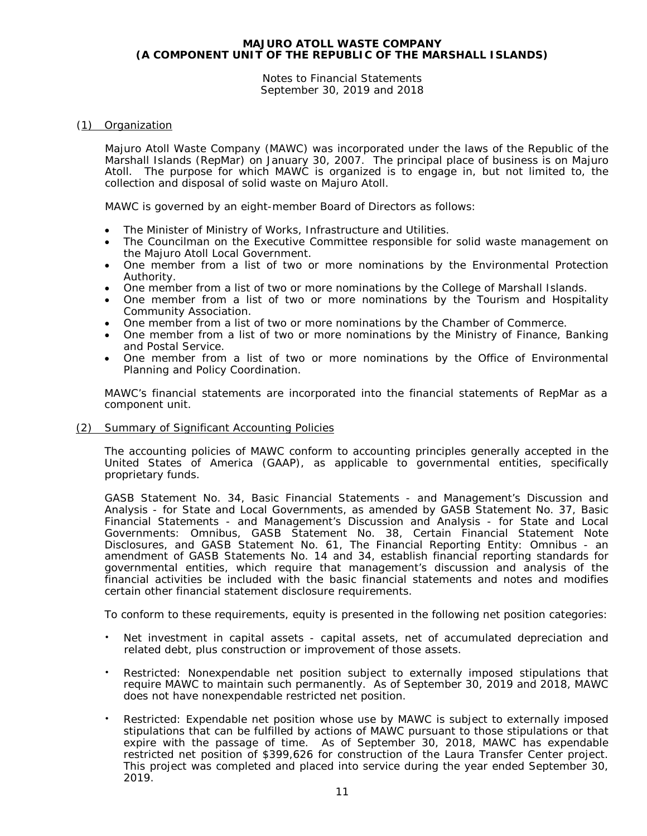Notes to Financial Statements September 30, 2019 and 2018

# (1) Organization

Majuro Atoll Waste Company (MAWC) was incorporated under the laws of the Republic of the Marshall Islands (RepMar) on January 30, 2007. The principal place of business is on Majuro Atoll. The purpose for which MAWC is organized is to engage in, but not limited to, the collection and disposal of solid waste on Majuro Atoll.

MAWC is governed by an eight-member Board of Directors as follows:

- The Minister of Ministry of Works, Infrastructure and Utilities.
- The Councilman on the Executive Committee responsible for solid waste management on the Majuro Atoll Local Government.
- One member from a list of two or more nominations by the Environmental Protection Authority.
- One member from a list of two or more nominations by the College of Marshall Islands.
- One member from a list of two or more nominations by the Tourism and Hospitality Community Association.
- One member from a list of two or more nominations by the Chamber of Commerce.
- One member from a list of two or more nominations by the Ministry of Finance, Banking and Postal Service.
- One member from a list of two or more nominations by the Office of Environmental Planning and Policy Coordination.

MAWC's financial statements are incorporated into the financial statements of RepMar as a component unit.

# (2) Summary of Significant Accounting Policies

The accounting policies of MAWC conform to accounting principles generally accepted in the United States of America (GAAP), as applicable to governmental entities, specifically proprietary funds.

GASB Statement No. 34, *Basic Financial Statements - and Management's Discussion and Analysis - for State and Local Governments*, as amended by GASB Statement No. 37, *Basic Financial Statements - and Management's Discussion and Analysis - for State and Local Governments: Omnibus*, GASB Statement No. 38, *Certain Financial Statement Note Disclosures*, and GASB Statement No. 61, *The Financial Reporting Entity: Omnibus - an amendment of GASB Statements No. 14 and 34,* establish financial reporting standards for governmental entities, which require that management's discussion and analysis of the financial activities be included with the basic financial statements and notes and modifies certain other financial statement disclosure requirements.

To conform to these requirements, equity is presented in the following net position categories:

- Net investment in capital assets capital assets, net of accumulated depreciation and related debt, plus construction or improvement of those assets.
- Restricted: Nonexpendable net position subject to externally imposed stipulations that require MAWC to maintain such permanently. As of September 30, 2019 and 2018, MAWC does not have nonexpendable restricted net position.
- Restricted: Expendable net position whose use by MAWC is subject to externally imposed stipulations that can be fulfilled by actions of MAWC pursuant to those stipulations or that expire with the passage of time. As of September 30, 2018, MAWC has expendable restricted net position of \$399,626 for construction of the Laura Transfer Center project. This project was completed and placed into service during the year ended September 30, 2019.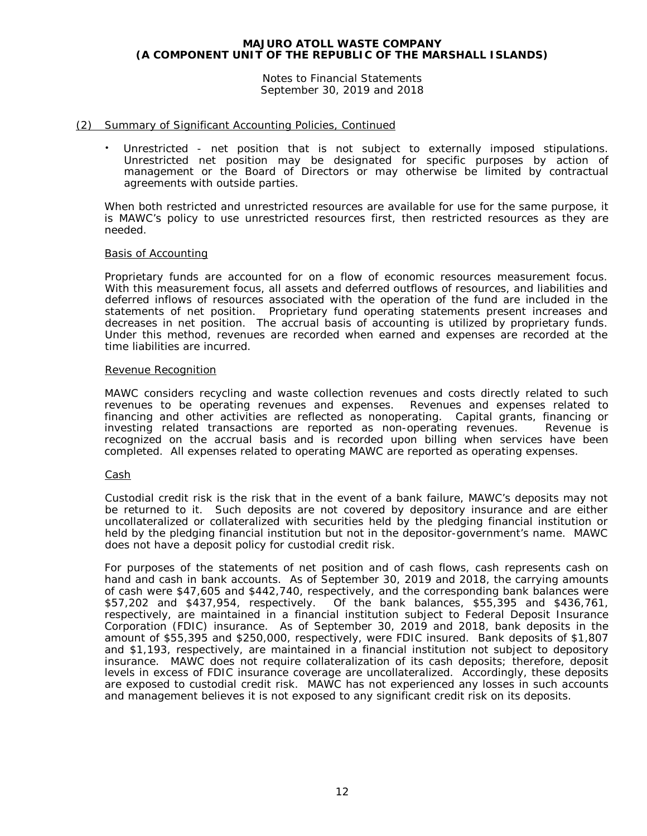Notes to Financial Statements September 30, 2019 and 2018

# (2) Summary of Significant Accounting Policies, Continued

 Unrestricted - net position that is not subject to externally imposed stipulations. Unrestricted net position may be designated for specific purposes by action of management or the Board of Directors or may otherwise be limited by contractual agreements with outside parties.

When both restricted and unrestricted resources are available for use for the same purpose, it is MAWC's policy to use unrestricted resources first, then restricted resources as they are needed.

#### Basis of Accounting

Proprietary funds are accounted for on a flow of economic resources measurement focus. With this measurement focus, all assets and deferred outflows of resources, and liabilities and deferred inflows of resources associated with the operation of the fund are included in the statements of net position. Proprietary fund operating statements present increases and decreases in net position. The accrual basis of accounting is utilized by proprietary funds. Under this method, revenues are recorded when earned and expenses are recorded at the time liabilities are incurred.

#### Revenue Recognition

MAWC considers recycling and waste collection revenues and costs directly related to such revenues to be operating revenues and expenses. Revenues and expenses related to financing and other activities are reflected as nonoperating. Capital grants, financing or investing related transactions are reported as non-operating revenues. Revenue is recognized on the accrual basis and is recorded upon billing when services have been completed. All expenses related to operating MAWC are reported as operating expenses.

#### Cash

Custodial credit risk is the risk that in the event of a bank failure, MAWC's deposits may not be returned to it. Such deposits are not covered by depository insurance and are either uncollateralized or collateralized with securities held by the pledging financial institution or held by the pledging financial institution but not in the depositor-government's name. MAWC does not have a deposit policy for custodial credit risk.

For purposes of the statements of net position and of cash flows, cash represents cash on hand and cash in bank accounts. As of September 30, 2019 and 2018, the carrying amounts of cash were \$47,605 and \$442,740, respectively, and the corresponding bank balances were \$57,202 and \$437,954, respectively. Of the bank balances, \$55,395 and \$436,761, respectively, are maintained in a financial institution subject to Federal Deposit Insurance Corporation (FDIC) insurance. As of September 30, 2019 and 2018, bank deposits in the amount of \$55,395 and \$250,000, respectively, were FDIC insured. Bank deposits of \$1,807 and \$1,193, respectively, are maintained in a financial institution not subject to depository insurance. MAWC does not require collateralization of its cash deposits; therefore, deposit levels in excess of FDIC insurance coverage are uncollateralized. Accordingly, these deposits are exposed to custodial credit risk. MAWC has not experienced any losses in such accounts and management believes it is not exposed to any significant credit risk on its deposits.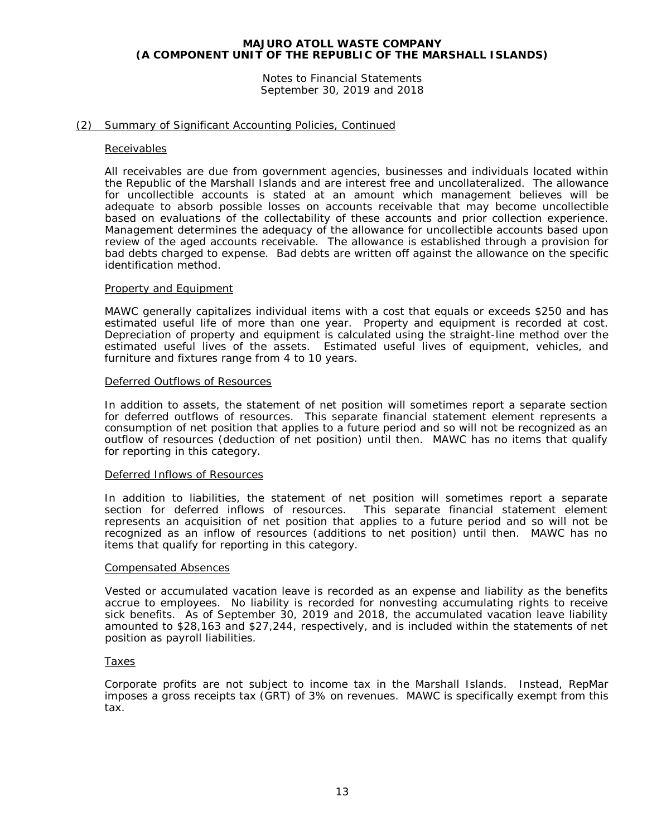Notes to Financial Statements September 30, 2019 and 2018

#### (2) Summary of Significant Accounting Policies, Continued

#### Receivables

All receivables are due from government agencies, businesses and individuals located within the Republic of the Marshall Islands and are interest free and uncollateralized. The allowance for uncollectible accounts is stated at an amount which management believes will be adequate to absorb possible losses on accounts receivable that may become uncollectible based on evaluations of the collectability of these accounts and prior collection experience. Management determines the adequacy of the allowance for uncollectible accounts based upon review of the aged accounts receivable. The allowance is established through a provision for bad debts charged to expense. Bad debts are written off against the allowance on the specific identification method.

#### Property and Equipment

MAWC generally capitalizes individual items with a cost that equals or exceeds \$250 and has estimated useful life of more than one year. Property and equipment is recorded at cost. Depreciation of property and equipment is calculated using the straight-line method over the estimated useful lives of the assets. Estimated useful lives of equipment, vehicles, and furniture and fixtures range from 4 to 10 years.

#### Deferred Outflows of Resources

In addition to assets, the statement of net position will sometimes report a separate section for deferred outflows of resources. This separate financial statement element represents a consumption of net position that applies to a future period and so will not be recognized as an outflow of resources (deduction of net position) until then. MAWC has no items that qualify for reporting in this category.

#### Deferred Inflows of Resources

In addition to liabilities, the statement of net position will sometimes report a separate section for deferred inflows of resources. This separate financial statement element represents an acquisition of net position that applies to a future period and so will not be recognized as an inflow of resources (additions to net position) until then. MAWC has no items that qualify for reporting in this category.

#### Compensated Absences

Vested or accumulated vacation leave is recorded as an expense and liability as the benefits accrue to employees. No liability is recorded for nonvesting accumulating rights to receive sick benefits. As of September 30, 2019 and 2018, the accumulated vacation leave liability amounted to \$28,163 and \$27,244, respectively, and is included within the statements of net position as payroll liabilities.

#### Taxes

Corporate profits are not subject to income tax in the Marshall Islands. Instead, RepMar imposes a gross receipts tax (GRT) of 3% on revenues. MAWC is specifically exempt from this tax.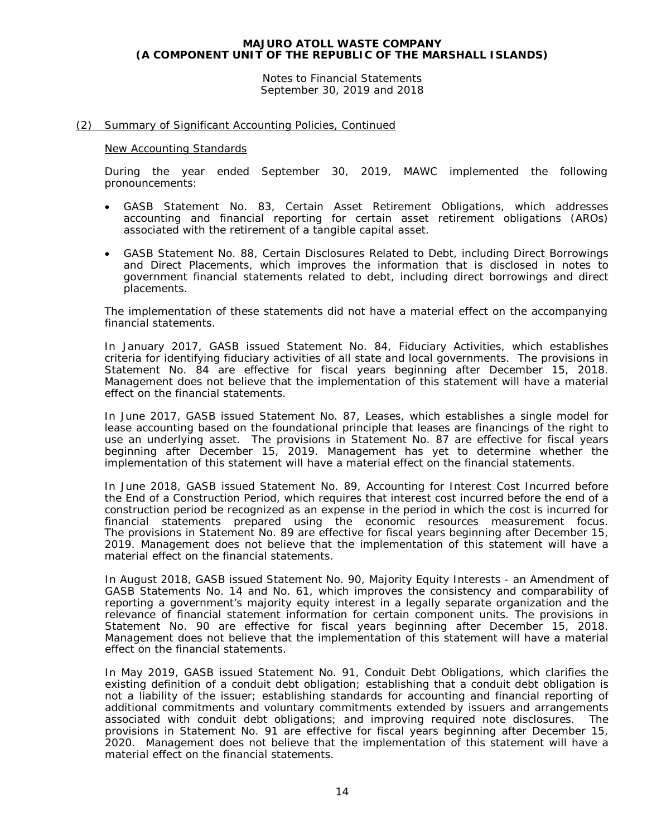Notes to Financial Statements September 30, 2019 and 2018

# (2) Summary of Significant Accounting Policies, Continued

#### New Accounting Standards

During the year ended September 30, 2019, MAWC implemented the following pronouncements:

- GASB Statement No. 83, *Certain Asset Retirement Obligations*, which addresses accounting and financial reporting for certain asset retirement obligations (AROs) associated with the retirement of a tangible capital asset.
- GASB Statement No. 88, *Certain Disclosures Related to Debt, including Direct Borrowings and Direct Placements*, which improves the information that is disclosed in notes to government financial statements related to debt, including direct borrowings and direct placements.

The implementation of these statements did not have a material effect on the accompanying financial statements.

In January 2017, GASB issued Statement No. 84, *Fiduciary Activities*, which establishes criteria for identifying fiduciary activities of all state and local governments. The provisions in Statement No. 84 are effective for fiscal years beginning after December 15, 2018. Management does not believe that the implementation of this statement will have a material effect on the financial statements.

In June 2017, GASB issued Statement No. 87, *Leases*, which establishes a single model for lease accounting based on the foundational principle that leases are financings of the right to use an underlying asset. The provisions in Statement No. 87 are effective for fiscal years beginning after December 15, 2019. Management has yet to determine whether the implementation of this statement will have a material effect on the financial statements.

In June 2018, GASB issued Statement No. 89, *Accounting for Interest Cost Incurred before the End of a Construction Period*, which requires that interest cost incurred before the end of a construction period be recognized as an expense in the period in which the cost is incurred for financial statements prepared using the economic resources measurement focus. The provisions in Statement No. 89 are effective for fiscal years beginning after December 15, 2019. Management does not believe that the implementation of this statement will have a material effect on the financial statements.

In August 2018, GASB issued Statement No. 90, *Majority Equity Interests - an Amendment of GASB Statements No. 14 and No. 61*, which improves the consistency and comparability of reporting a government's majority equity interest in a legally separate organization and the relevance of financial statement information for certain component units. The provisions in Statement No. 90 are effective for fiscal years beginning after December 15, 2018. Management does not believe that the implementation of this statement will have a material effect on the financial statements.

In May 2019, GASB issued Statement No. 91, *Conduit Debt Obligations*, which clarifies the existing definition of a conduit debt obligation; establishing that a conduit debt obligation is not a liability of the issuer; establishing standards for accounting and financial reporting of additional commitments and voluntary commitments extended by issuers and arrangements associated with conduit debt obligations; and improving required note disclosures. The provisions in Statement No. 91 are effective for fiscal years beginning after December 15, 2020. Management does not believe that the implementation of this statement will have a material effect on the financial statements.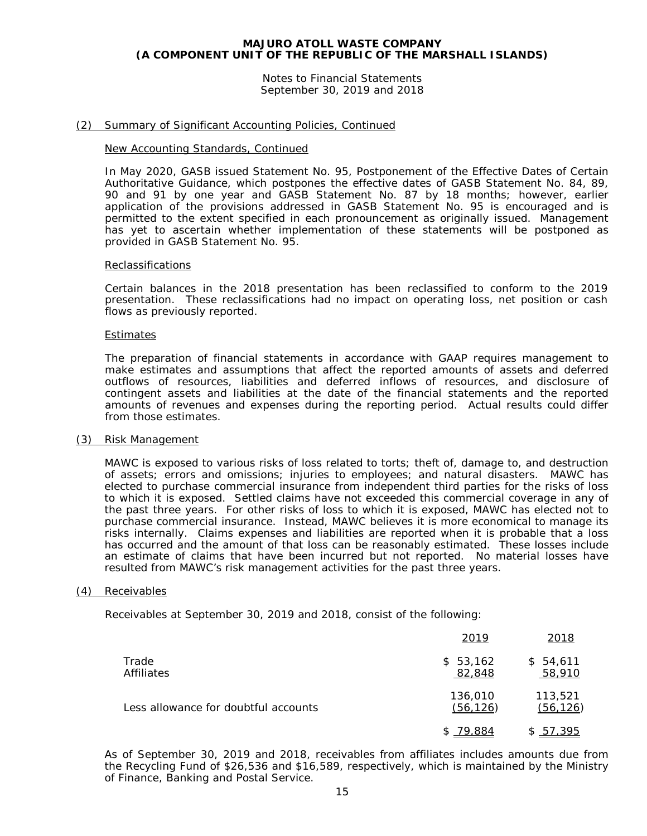Notes to Financial Statements September 30, 2019 and 2018

#### (2) Summary of Significant Accounting Policies, Continued

#### New Accounting Standards, Continued

In May 2020, GASB issued Statement No. 95, *Postponement of the Effective Dates of Certain Authoritative Guidance*, which postpones the effective dates of GASB Statement No. 84, 89, 90 and 91 by one year and GASB Statement No. 87 by 18 months; however, earlier application of the provisions addressed in GASB Statement No. 95 is encouraged and is permitted to the extent specified in each pronouncement as originally issued. Management has yet to ascertain whether implementation of these statements will be postponed as provided in GASB Statement No. 95.

#### **Reclassifications**

Certain balances in the 2018 presentation has been reclassified to conform to the 2019 presentation. These reclassifications had no impact on operating loss, net position or cash flows as previously reported.

#### Estimates

The preparation of financial statements in accordance with GAAP requires management to make estimates and assumptions that affect the reported amounts of assets and deferred outflows of resources, liabilities and deferred inflows of resources, and disclosure of contingent assets and liabilities at the date of the financial statements and the reported amounts of revenues and expenses during the reporting period. Actual results could differ from those estimates.

# (3) Risk Management

MAWC is exposed to various risks of loss related to torts; theft of, damage to, and destruction of assets; errors and omissions; injuries to employees; and natural disasters. MAWC has elected to purchase commercial insurance from independent third parties for the risks of loss to which it is exposed. Settled claims have not exceeded this commercial coverage in any of the past three years. For other risks of loss to which it is exposed, MAWC has elected not to purchase commercial insurance. Instead, MAWC believes it is more economical to manage its risks internally. Claims expenses and liabilities are reported when it is probable that a loss has occurred and the amount of that loss can be reasonably estimated. These losses include an estimate of claims that have been incurred but not reported. No material losses have resulted from MAWC's risk management activities for the past three years.

#### (4) Receivables

Receivables at September 30, 2019 and 2018, consist of the following:

|                                      | 2019                 | 2018                 |
|--------------------------------------|----------------------|----------------------|
| Trade<br>Affiliates                  | \$53,162<br>82,848   | \$54,611<br>58,910   |
| Less allowance for doubtful accounts | 136,010<br>(56, 126) | 113,521<br>(56, 126) |
|                                      | \$79.884             | \$57.395             |

As of September 30, 2019 and 2018, receivables from affiliates includes amounts due from the Recycling Fund of \$26,536 and \$16,589, respectively, which is maintained by the Ministry of Finance, Banking and Postal Service.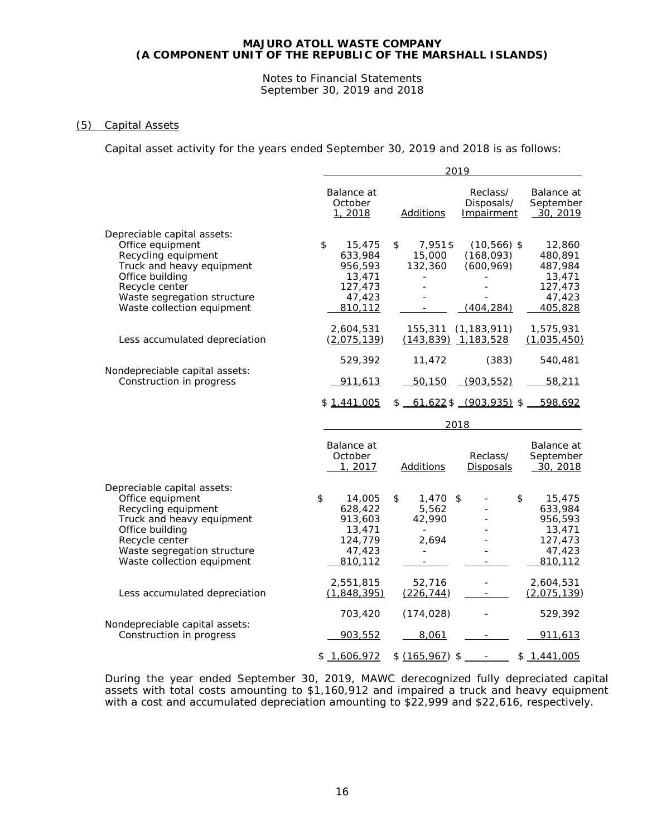Notes to Financial Statements September 30, 2019 and 2018

#### (5) Capital Assets

Capital asset activity for the years ended September 30, 2019 and 2018 is as follows:

|                                                                                                                                                                                                       |                                                                                    | 2019                                                                                                                                                               |
|-------------------------------------------------------------------------------------------------------------------------------------------------------------------------------------------------------|------------------------------------------------------------------------------------|--------------------------------------------------------------------------------------------------------------------------------------------------------------------|
|                                                                                                                                                                                                       | Balance at<br>October<br>1, 2018<br><b>Additions</b>                               | Reclass/<br>Balance at<br>Disposals/<br>September<br>Impairment<br>30, 2019                                                                                        |
| Depreciable capital assets:<br>Office equipment<br>Recycling equipment<br>Truck and heavy equipment<br>Office building<br>Recycle center<br>Waste segregation structure<br>Waste collection equipment | \$<br>15,475<br>\$<br>633,984<br>956,593<br>13,471<br>127,473<br>47,423<br>810,112 | 7,951\$<br>$(10, 566)$ \$<br>12,860<br>15,000<br>(168, 093)<br>480,891<br>132,360<br>(600, 969)<br>487,984<br>13,471<br>127,473<br>47,423<br>405,828<br>(404, 284) |
| Less accumulated depreciation                                                                                                                                                                         | 2,604,531<br>(2,075,139)                                                           | (1, 183, 911)<br>155,311<br>1,575,931<br>$(143,839)$ 1,183,528<br>(1,035,450)                                                                                      |
|                                                                                                                                                                                                       | 529,392                                                                            | (383)<br>540,481<br>11,472                                                                                                                                         |
| Nondepreciable capital assets:<br>Construction in progress                                                                                                                                            | 911,613                                                                            | 50,150<br>(903, 552)<br>58,211                                                                                                                                     |
|                                                                                                                                                                                                       | \$1,441,005                                                                        | $$61,622$ $$603,935)$ $$598,692$                                                                                                                                   |
|                                                                                                                                                                                                       |                                                                                    | 2018                                                                                                                                                               |
|                                                                                                                                                                                                       | Balance at<br>October<br>1, 2017<br><b>Additions</b>                               | Balance at<br>Reclass/<br>September<br><b>Disposals</b><br>30, 2018                                                                                                |
| Depreciable capital assets:<br>Office equipment<br>Recycling equipment<br>Truck and heavy equipment<br>Office building<br>Recycle center<br>Waste segregation structure<br>Waste collection equipment | \$<br>14,005<br>\$<br>628,422<br>913,603<br>13,471<br>124,779<br>47,423<br>810,112 | $1,470$ \$<br>15,475<br>\$<br>5,562<br>633,984<br>42,990<br>956,593<br>13,471<br>127,473<br>2,694<br>47,423<br>$\overline{a}$<br>810,112                           |
| Less accumulated depreciation                                                                                                                                                                         | 2,551,815<br>(1,848,395)                                                           | 52,716<br>2,604,531<br>(226.744)<br>(2,075,139)                                                                                                                    |
|                                                                                                                                                                                                       | 703,420                                                                            | (174, 028)<br>529,392                                                                                                                                              |
| Nondepreciable capital assets:<br>Construction in progress                                                                                                                                            | 903,552                                                                            | 8,061<br>911,613                                                                                                                                                   |
|                                                                                                                                                                                                       | \$1,606,972                                                                        | $$(165, 967)$ \$<br>\$1,441,005                                                                                                                                    |

During the year ended September 30, 2019, MAWC derecognized fully depreciated capital assets with total costs amounting to \$1,160,912 and impaired a truck and heavy equipment with a cost and accumulated depreciation amounting to \$22,999 and \$22,616, respectively.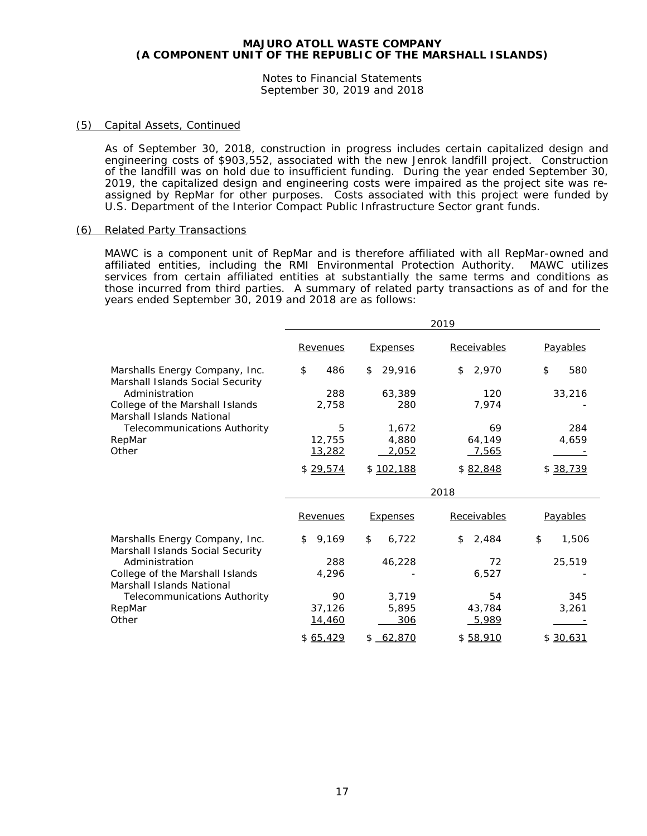Notes to Financial Statements September 30, 2019 and 2018

#### (5) Capital Assets, Continued

As of September 30, 2018, construction in progress includes certain capitalized design and engineering costs of \$903,552, associated with the new Jenrok landfill project. Construction of the landfill was on hold due to insufficient funding. During the year ended September 30, 2019, the capitalized design and engineering costs were impaired as the project site was reassigned by RepMar for other purposes. Costs associated with this project were funded by U.S. Department of the Interior Compact Public Infrastructure Sector grant funds.

#### (6) Related Party Transactions

MAWC is a component unit of RepMar and is therefore affiliated with all RepMar-owned and affiliated entities, including the RMI Environmental Protection Authority. MAWC utilizes services from certain affiliated entities at substantially the same terms and conditions as those incurred from third parties. A summary of related party transactions as of and for the years ended September 30, 2019 and 2018 are as follows:

|                                                                    |               |              | 2019         |                 |
|--------------------------------------------------------------------|---------------|--------------|--------------|-----------------|
|                                                                    | Revenues      | Expenses     | Receivables  | Payables        |
| Marshalls Energy Company, Inc.<br>Marshall Islands Social Security | \$<br>486     | \$<br>29,916 | \$<br>2,970  | \$<br>580       |
| Administration                                                     | 288           | 63,389       | 120          | 33,216          |
| College of the Marshall Islands<br>Marshall Islands National       | 2,758         | 280          | 7,974        |                 |
| Telecommunications Authority                                       | 5             | 1.672        | 69           | 284             |
| RepMar                                                             | 12,755        | 4,880        | 64,149       | 4,659           |
| Other                                                              | 13,282        | 2,052        | 7,565        |                 |
|                                                                    | \$29,574      | \$102,188    | \$82,848     | \$38,739        |
|                                                                    |               |              | 2018         |                 |
|                                                                    | Revenues      | Expenses     | Receivables  | <b>Payables</b> |
| Marshalls Energy Company, Inc.<br>Marshall Islands Social Security | 9,169<br>\$   | \$<br>6,722  | 2,484<br>\$. | \$<br>1,506     |
| Administration                                                     | 288           | 46,228       | 72           | 25,519          |
| College of the Marshall Islands<br>Marshall Islands National       | 4,296         |              | 6,527        |                 |
| <b>Telecommunications Authority</b>                                | 90            | 3,719        | 54           | 345             |
| RepMar                                                             | 37,126        | 5,895        | 43,784       | 3,261           |
| Other                                                              | <u>14,460</u> | 306          | 5,989        |                 |
|                                                                    | \$65,429      | 62,870<br>\$ | \$58,910     | \$30,631        |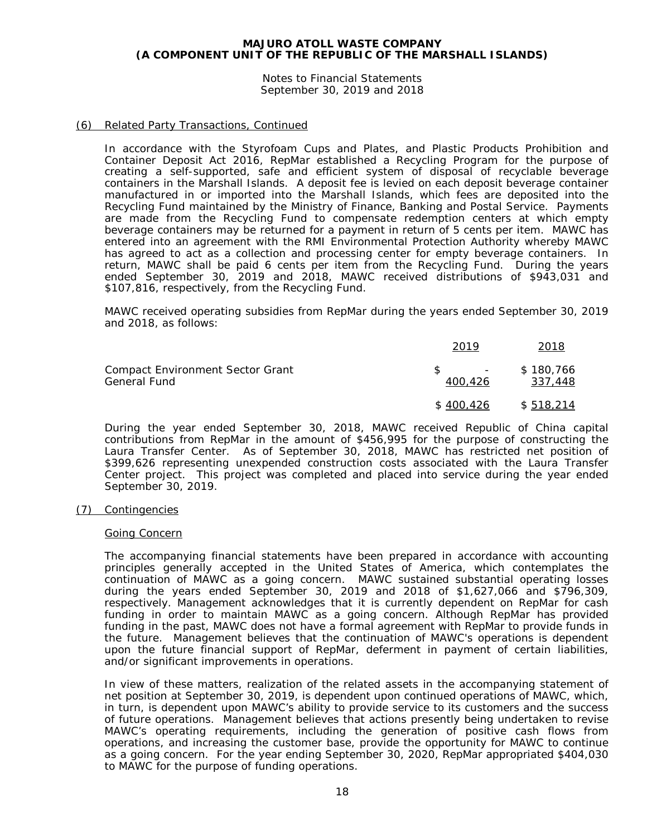Notes to Financial Statements September 30, 2019 and 2018

# (6) Related Party Transactions, Continued

In accordance with the Styrofoam Cups and Plates, and Plastic Products Prohibition and Container Deposit Act 2016, RepMar established a Recycling Program for the purpose of creating a self-supported, safe and efficient system of disposal of recyclable beverage containers in the Marshall Islands. A deposit fee is levied on each deposit beverage container manufactured in or imported into the Marshall Islands, which fees are deposited into the Recycling Fund maintained by the Ministry of Finance, Banking and Postal Service. Payments are made from the Recycling Fund to compensate redemption centers at which empty beverage containers may be returned for a payment in return of 5 cents per item. MAWC has entered into an agreement with the RMI Environmental Protection Authority whereby MAWC has agreed to act as a collection and processing center for empty beverage containers. In return, MAWC shall be paid 6 cents per item from the Recycling Fund. During the years ended September 30, 2019 and 2018, MAWC received distributions of \$943,031 and \$107,816, respectively, from the Recycling Fund.

MAWC received operating subsidies from RepMar during the years ended September 30, 2019 and 2018, as follows:

|                                                         | 2019      | 2018                 |
|---------------------------------------------------------|-----------|----------------------|
| <b>Compact Environment Sector Grant</b><br>General Fund | 400.426   | \$180,766<br>337,448 |
|                                                         | \$400.426 | \$518.214            |

During the year ended September 30, 2018, MAWC received Republic of China capital contributions from RepMar in the amount of \$456,995 for the purpose of constructing the Laura Transfer Center. As of September 30, 2018, MAWC has restricted net position of \$399,626 representing unexpended construction costs associated with the Laura Transfer Center project. This project was completed and placed into service during the year ended September 30, 2019.

(7) Contingencies

# Going Concern

The accompanying financial statements have been prepared in accordance with accounting principles generally accepted in the United States of America, which contemplates the continuation of MAWC as a going concern. MAWC sustained substantial operating losses during the years ended September 30, 2019 and 2018 of \$1,627,066 and \$796,309, respectively. Management acknowledges that it is currently dependent on RepMar for cash funding in order to maintain MAWC as a going concern. Although RepMar has provided funding in the past, MAWC does not have a formal agreement with RepMar to provide funds in the future. Management believes that the continuation of MAWC's operations is dependent upon the future financial support of RepMar, deferment in payment of certain liabilities, and/or significant improvements in operations.

In view of these matters, realization of the related assets in the accompanying statement of net position at September 30, 2019, is dependent upon continued operations of MAWC, which, in turn, is dependent upon MAWC's ability to provide service to its customers and the success of future operations. Management believes that actions presently being undertaken to revise MAWC's operating requirements, including the generation of positive cash flows from operations, and increasing the customer base, provide the opportunity for MAWC to continue as a going concern. For the year ending September 30, 2020, RepMar appropriated \$404,030 to MAWC for the purpose of funding operations.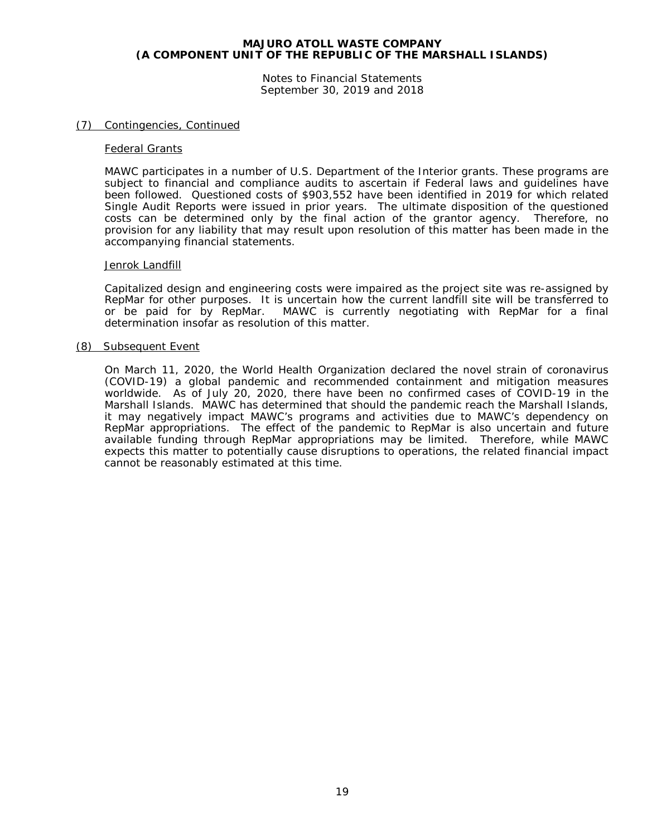Notes to Financial Statements September 30, 2019 and 2018

#### (7) Contingencies, Continued

#### Federal Grants

MAWC participates in a number of U.S. Department of the Interior grants. These programs are subject to financial and compliance audits to ascertain if Federal laws and guidelines have been followed. Questioned costs of \$903,552 have been identified in 2019 for which related Single Audit Reports were issued in prior years. The ultimate disposition of the questioned costs can be determined only by the final action of the grantor agency. Therefore, no provision for any liability that may result upon resolution of this matter has been made in the accompanying financial statements.

#### Jenrok Landfill

Capitalized design and engineering costs were impaired as the project site was re-assigned by RepMar for other purposes. It is uncertain how the current landfill site will be transferred to<br>or be paid for by RepMar. MAWC is currently negotiating with RepMar for a final MAWC is currently negotiating with RepMar for a final determination insofar as resolution of this matter.

#### (8) Subsequent Event

On March 11, 2020, the World Health Organization declared the novel strain of coronavirus (COVID-19) a global pandemic and recommended containment and mitigation measures worldwide. As of July 20, 2020, there have been no confirmed cases of COVID-19 in the Marshall Islands. MAWC has determined that should the pandemic reach the Marshall Islands, it may negatively impact MAWC's programs and activities due to MAWC's dependency on RepMar appropriations. The effect of the pandemic to RepMar is also uncertain and future available funding through RepMar appropriations may be limited. Therefore, while MAWC expects this matter to potentially cause disruptions to operations, the related financial impact cannot be reasonably estimated at this time.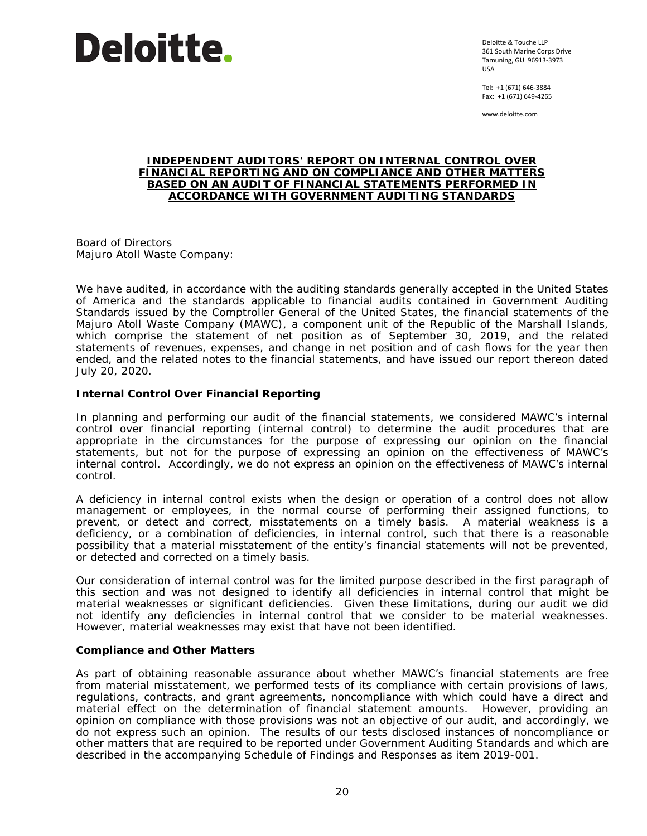

Deloitte & Touche LLP 361 South Marine Corps Drive Tamuning, GU 96913-3973 USA

Tel: +1 (671) 646-3884 Fax: +1 (671) 649-4265

www.deloitte.com

#### **INDEPENDENT AUDITORS' REPORT ON INTERNAL CONTROL OVER FINANCIAL REPORTING AND ON COMPLIANCE AND OTHER MATTERS BASED ON AN AUDIT OF FINANCIAL STATEMENTS PERFORMED IN ACCORDANCE WITH** *GOVERNMENT AUDITING STANDARDS*

Board of Directors Majuro Atoll Waste Company:

We have audited, in accordance with the auditing standards generally accepted in the United States of America and the standards applicable to financial audits contained in *Government Auditing Standards* issued by the Comptroller General of the United States, the financial statements of the Majuro Atoll Waste Company (MAWC), a component unit of the Republic of the Marshall Islands, which comprise the statement of net position as of September 30, 2019, and the related statements of revenues, expenses, and change in net position and of cash flows for the year then ended, and the related notes to the financial statements, and have issued our report thereon dated July 20, 2020.

# **Internal Control Over Financial Reporting**

In planning and performing our audit of the financial statements, we considered MAWC's internal control over financial reporting (internal control) to determine the audit procedures that are appropriate in the circumstances for the purpose of expressing our opinion on the financial statements, but not for the purpose of expressing an opinion on the effectiveness of MAWC's internal control. Accordingly, we do not express an opinion on the effectiveness of MAWC's internal control.

A *deficiency in internal control* exists when the design or operation of a control does not allow management or employees, in the normal course of performing their assigned functions, to prevent, or detect and correct, misstatements on a timely basis. A *material weakness* is a deficiency, or a combination of deficiencies, in internal control, such that there is a reasonable possibility that a material misstatement of the entity's financial statements will not be prevented, or detected and corrected on a timely basis.

Our consideration of internal control was for the limited purpose described in the first paragraph of this section and was not designed to identify all deficiencies in internal control that might be material weaknesses or significant deficiencies. Given these limitations, during our audit we did not identify any deficiencies in internal control that we consider to be material weaknesses. However, material weaknesses may exist that have not been identified.

# **Compliance and Other Matters**

As part of obtaining reasonable assurance about whether MAWC's financial statements are free from material misstatement, we performed tests of its compliance with certain provisions of laws, regulations, contracts, and grant agreements, noncompliance with which could have a direct and material effect on the determination of financial statement amounts. However, providing an opinion on compliance with those provisions was not an objective of our audit, and accordingly, we do not express such an opinion. The results of our tests disclosed instances of noncompliance or other matters that are required to be reported under *Government Auditing Standards* and which are described in the accompanying Schedule of Findings and Responses as item 2019-001.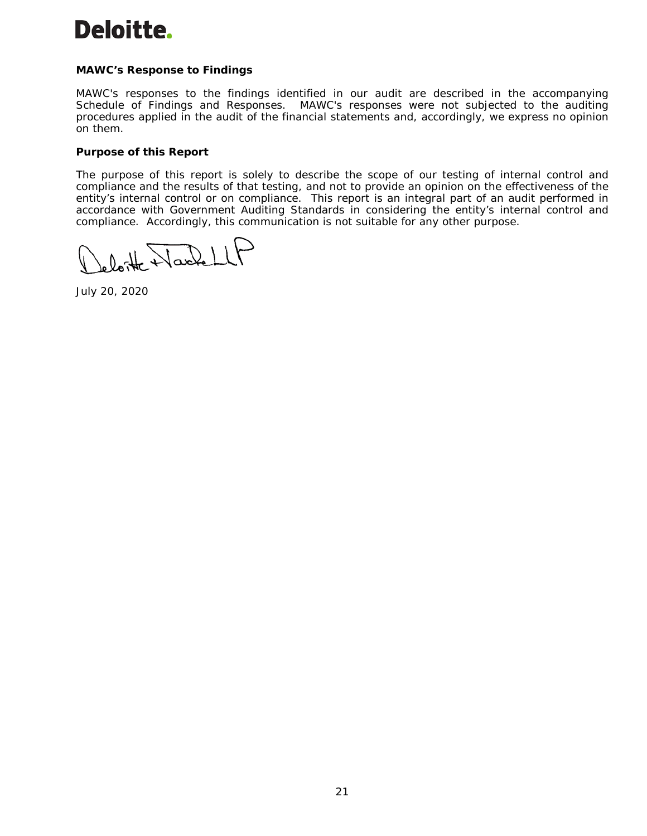# Deloitte.

# **MAWC's Response to Findings**

MAWC's responses to the findings identified in our audit are described in the accompanying Schedule of Findings and Responses. MAWC's responses were not subjected to the auditing procedures applied in the audit of the financial statements and, accordingly, we express no opinion on them.

# **Purpose of this Report**

The purpose of this report is solely to describe the scope of our testing of internal control and compliance and the results of that testing, and not to provide an opinion on the effectiveness of the entity's internal control or on compliance. This report is an integral part of an audit performed in accordance with *Government Auditing Standards* in considering the entity's internal control and compliance. Accordingly, this communication is not suitable for any other purpose.

beloit Narbell

July 20, 2020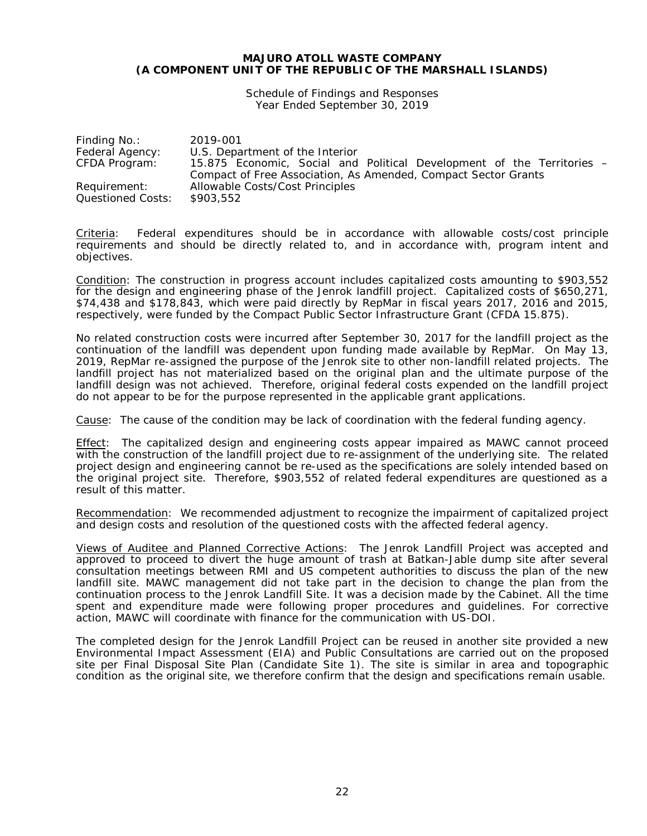Schedule of Findings and Responses Year Ended September 30, 2019

| Finding No.:      | 2019-001                                                               |
|-------------------|------------------------------------------------------------------------|
| Federal Agency:   | U.S. Department of the Interior                                        |
| CFDA Program:     | 15.875 Economic, Social and Political Development of the Territories – |
|                   | Compact of Free Association, As Amended, Compact Sector Grants         |
| Requirement:      | Allowable Costs/Cost Principles                                        |
| Questioned Costs: | \$903,552                                                              |

Criteria: Federal expenditures should be in accordance with allowable costs/cost principle requirements and should be directly related to, and in accordance with, program intent and objectives.

Condition: The construction in progress account includes capitalized costs amounting to \$903,552 for the design and engineering phase of the Jenrok landfill project. Capitalized costs of \$650,271, \$74,438 and \$178,843, which were paid directly by RepMar in fiscal years 2017, 2016 and 2015, respectively, were funded by the Compact Public Sector Infrastructure Grant (CFDA 15.875).

No related construction costs were incurred after September 30, 2017 for the landfill project as the continuation of the landfill was dependent upon funding made available by RepMar. On May 13, 2019, RepMar re-assigned the purpose of the Jenrok site to other non-landfill related projects. The landfill project has not materialized based on the original plan and the ultimate purpose of the landfill design was not achieved. Therefore, original federal costs expended on the landfill project do not appear to be for the purpose represented in the applicable grant applications.

Cause: The cause of the condition may be lack of coordination with the federal funding agency.

Effect: The capitalized design and engineering costs appear impaired as MAWC cannot proceed with the construction of the landfill project due to re-assignment of the underlying site. The related project design and engineering cannot be re-used as the specifications are solely intended based on the original project site. Therefore, \$903,552 of related federal expenditures are questioned as a result of this matter.

Recommendation: We recommended adjustment to recognize the impairment of capitalized project and design costs and resolution of the questioned costs with the affected federal agency.

Views of Auditee and Planned Corrective Actions: The Jenrok Landfill Project was accepted and approved to proceed to divert the huge amount of trash at Batkan-Jable dump site after several consultation meetings between RMI and US competent authorities to discuss the plan of the new landfill site. MAWC management did not take part in the decision to change the plan from the continuation process to the Jenrok Landfill Site. It was a decision made by the Cabinet. All the time spent and expenditure made were following proper procedures and guidelines. For corrective action, MAWC will coordinate with finance for the communication with US-DOI.

The completed design for the Jenrok Landfill Project can be reused in another site provided a new Environmental Impact Assessment (EIA) and Public Consultations are carried out on the proposed site per Final Disposal Site Plan (Candidate Site 1). The site is similar in area and topographic condition as the original site, we therefore confirm that the design and specifications remain usable.